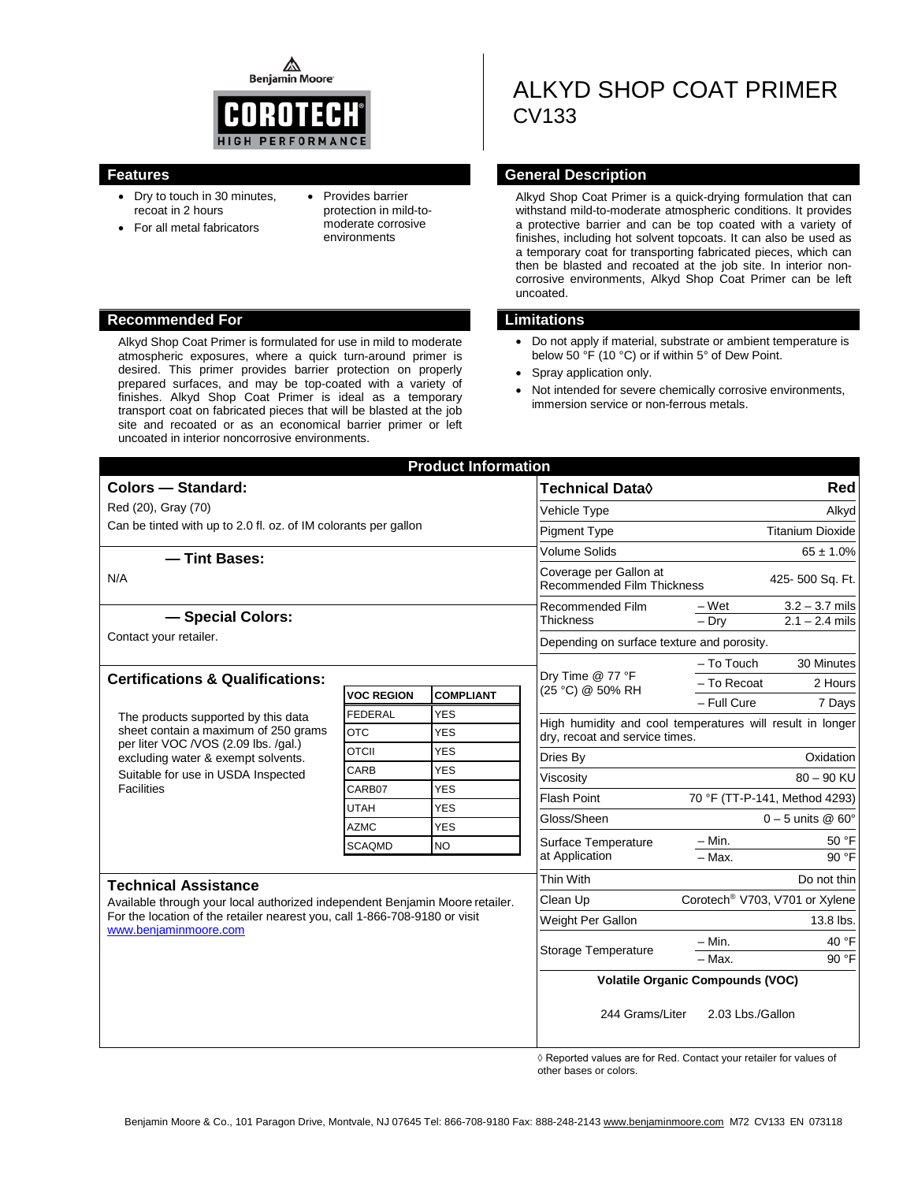⚠ **Benjamin Moore** 



- Dry to touch in 30 minutes, recoat in 2 hours
- For all metal fabricators
- Provides barrier protection in mild-tomoderate corrosive environments

#### **Recommended For Limitations**

Alkyd Shop Coat Primer is formulated for use in mild to moderate atmospheric exposures, where a quick turn-around primer is desired. This primer provides barrier protection on properly prepared surfaces, and may be top-coated with a variety of finishes. Alkyd Shop Coat Primer is ideal as a temporary transport coat on fabricated pieces that will be blasted at the job site and recoated or as an economical barrier primer or left uncoated in interior noncorrosive environments.

# ALKYD SHOP COAT PRIMER CV133

### **Features General Description**

Alkyd Shop Coat Primer is a quick-drying formulation that can withstand mild-to-moderate atmospheric conditions. It provides a protective barrier and can be top coated with a variety of finishes, including hot solvent topcoats. It can also be used as a temporary coat for transporting fabricated pieces, which can then be blasted and recoated at the job site. In interior noncorrosive environments, Alkyd Shop Coat Primer can be left uncoated.

- Do not apply if material, substrate or ambient temperature is below 50 °F (10 °C) or if within 5° of Dew Point.
- Spray application only.
- Not intended for severe chemically corrosive environments, immersion service or non-ferrous metals.

| <b>Product Information</b>                                                                                                                                                          |                   |                                            |                                                      |                                                           |  |
|-------------------------------------------------------------------------------------------------------------------------------------------------------------------------------------|-------------------|--------------------------------------------|------------------------------------------------------|-----------------------------------------------------------|--|
| <b>Colors - Standard:</b>                                                                                                                                                           |                   |                                            | <b>Technical Data</b> ◊                              | <b>Red</b>                                                |  |
| Red (20), Gray (70)                                                                                                                                                                 |                   |                                            | Vehicle Type                                         | Alkyd                                                     |  |
| Can be tinted with up to 2.0 fl. oz. of IM colorants per gallon                                                                                                                     |                   |                                            | <b>Pigment Type</b>                                  | <b>Titanium Dioxide</b>                                   |  |
| -Tint Bases:                                                                                                                                                                        |                   |                                            | <b>Volume Solids</b>                                 | $65 \pm 1.0\%$                                            |  |
| N/A                                                                                                                                                                                 |                   |                                            | Coverage per Gallon at<br>Recommended Film Thickness | 425-500 Sq. Ft.                                           |  |
|                                                                                                                                                                                     |                   |                                            | Recommended Film<br><b>Thickness</b>                 | $3.2 - 3.7$ mils<br>– Wet                                 |  |
| - Special Colors:                                                                                                                                                                   |                   | $-Dry$<br>$2.1 - 2.4$ mils                 |                                                      |                                                           |  |
| Contact your retailer.                                                                                                                                                              |                   | Depending on surface texture and porosity. |                                                      |                                                           |  |
|                                                                                                                                                                                     |                   | Dry Time @ 77 °F                           | $-$ To Touch<br>30 Minutes                           |                                                           |  |
| <b>Certifications &amp; Qualifications:</b>                                                                                                                                         | <b>VOC REGION</b> | <b>COMPLIANT</b>                           | (25 °C) @ 50% RH                                     | $-$ To Recoat<br>2 Hours                                  |  |
|                                                                                                                                                                                     | <b>FEDERAL</b>    | <b>YES</b>                                 |                                                      | - Full Cure<br>7 Days                                     |  |
| The products supported by this data<br>sheet contain a maximum of 250 grams                                                                                                         | <b>OTC</b>        | <b>YES</b>                                 |                                                      | High humidity and cool temperatures will result in longer |  |
| per liter VOC /VOS (2.09 lbs. /gal.)                                                                                                                                                | <b>OTCII</b>      | <b>YES</b>                                 | dry, recoat and service times.                       |                                                           |  |
| excluding water & exempt solvents.<br>Suitable for use in USDA Inspected<br><b>Facilities</b>                                                                                       | CARB              | <b>YES</b>                                 | Dries By                                             | Oxidation                                                 |  |
|                                                                                                                                                                                     | CARB07            | <b>YES</b>                                 | Viscosity                                            | $80 - 90$ KU                                              |  |
|                                                                                                                                                                                     | <b>UTAH</b>       | <b>YES</b>                                 | <b>Flash Point</b>                                   | 70 °F (TT-P-141, Method 4293)                             |  |
|                                                                                                                                                                                     | <b>AZMC</b>       | <b>YES</b>                                 | Gloss/Sheen                                          | $0 - 5$ units @ 60 $^{\circ}$                             |  |
|                                                                                                                                                                                     | <b>SCAQMD</b>     | <b>NO</b>                                  | Surface Temperature                                  | $- Min.$<br>50 °F                                         |  |
|                                                                                                                                                                                     |                   |                                            | at Application                                       | $-$ Max.<br>90 °F                                         |  |
| <b>Technical Assistance</b>                                                                                                                                                         |                   |                                            | Thin With                                            | Do not thin                                               |  |
| Available through your local authorized independent Benjamin Moore retailer.<br>For the location of the retailer nearest you, call 1-866-708-9180 or visit<br>www.beniaminmoore.com |                   |                                            | Clean Up                                             | Corotech <sup>®</sup> V703, V701 or Xylene                |  |
|                                                                                                                                                                                     |                   |                                            | Weight Per Gallon                                    | 13.8 lbs.                                                 |  |
|                                                                                                                                                                                     |                   |                                            | $- Min.$<br>40 °F<br>Storage Temperature             |                                                           |  |
|                                                                                                                                                                                     |                   |                                            |                                                      | $-$ Max.<br>90 °F                                         |  |
|                                                                                                                                                                                     |                   |                                            | <b>Volatile Organic Compounds (VOC)</b>              |                                                           |  |
|                                                                                                                                                                                     |                   |                                            | 244 Grams/Liter                                      | 2.03 Lbs./Gallon                                          |  |

 ◊ Reported values are for Red. Contact your retailer for values of other bases or colors.